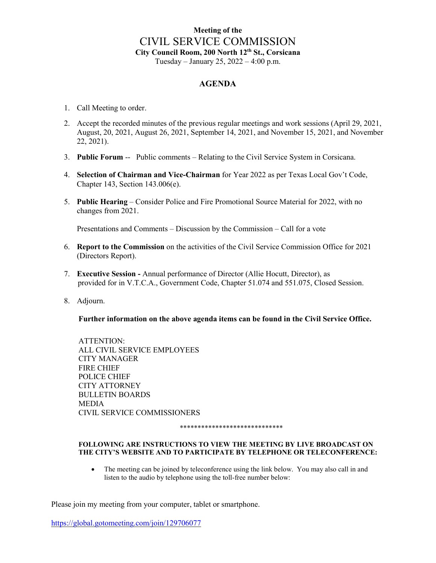# **Meeting of the** CIVIL SERVICE COMMISSION **City Council Room, 200 North 12th St., Corsicana**

Tuesday – January 25, 2022 – 4:00 p.m.

## **AGENDA**

- 1. Call Meeting to order.
- 2. Accept the recorded minutes of the previous regular meetings and work sessions (April 29, 2021, August, 20, 2021, August 26, 2021, September 14, 2021, and November 15, 2021, and November 22, 2021).
- 3. **Public Forum** -- Public comments Relating to the Civil Service System in Corsicana.
- 4. **Selection of Chairman and Vice-Chairman** for Year 2022 as per Texas Local Gov't Code, Chapter 143, Section 143.006(e).
- 5. **Public Hearing** Consider Police and Fire Promotional Source Material for 2022, with no changes from 2021.

Presentations and Comments – Discussion by the Commission – Call for a vote

- 6. **Report to the Commission** on the activities of the Civil Service Commission Office for 2021 (Directors Report).
- 7. **Executive Session -** Annual performance of Director (Allie Hocutt, Director), as provided for in V.T.C.A., Government Code, Chapter 51.074 and 551.075, Closed Session.
- 8. Adjourn.

### **Further information on the above agenda items can be found in the Civil Service Office.**

ATTENTION: ALL CIVIL SERVICE EMPLOYEES CITY MANAGER FIRE CHIEF POLICE CHIEF CITY ATTORNEY BULLETIN BOARDS MEDIA CIVIL SERVICE COMMISSIONERS

#### \*\*\*\*\*\*\*\*\*\*\*\*\*\*\*\*\*\*\*\*\*\*\*\*\*\*\*\*\*

### **FOLLOWING ARE INSTRUCTIONS TO VIEW THE MEETING BY LIVE BROADCAST ON THE CITY'S WEBSITE AND TO PARTICIPATE BY TELEPHONE OR TELECONFERENCE:**

• The meeting can be joined by teleconference using the link below. You may also call in and listen to the audio by telephone using the toll-free number below:

Please join my meeting from your computer, tablet or smartphone.

<https://global.gotomeeting.com/join/129706077>